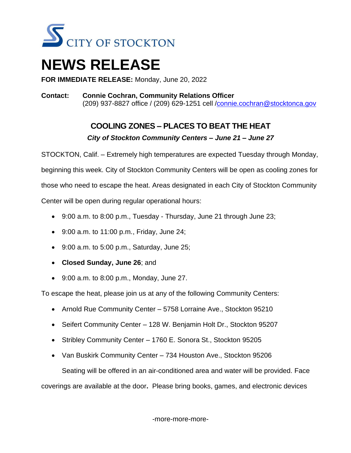

## **NEWS RELEASE**

**FOR IMMEDIATE RELEASE:** Monday, June 20, 2022

**Contact: Connie Cochran, Community Relations Officer** (209) 937-8827 office / (209) 629-1251 cell [/connie.cochran@stocktonca.gov](mailto:connie.cochran@stocktonca.gov)

## **COOLING ZONES – PLACES TO BEAT THE HEAT** *City of Stockton Community Centers – June 21 – June 27*

STOCKTON, Calif. – Extremely high temperatures are expected Tuesday through Monday, beginning this week. City of Stockton Community Centers will be open as cooling zones for those who need to escape the heat. Areas designated in each City of Stockton Community Center will be open during regular operational hours:

- 9:00 a.m. to 8:00 p.m., Tuesday Thursday, June 21 through June 23;
- 9:00 a.m. to 11:00 p.m., Friday, June 24;
- $\bullet$  9:00 a.m. to 5:00 p.m., Saturday, June 25;
- **Closed Sunday, June 26**; and
- 9:00 a.m. to 8:00 p.m., Monday, June 27.

To escape the heat, please join us at any of the following Community Centers:

- Arnold Rue Community Center 5758 Lorraine Ave., Stockton 95210
- Seifert Community Center 128 W. Benjamin Holt Dr., Stockton 95207
- Stribley Community Center 1760 E. Sonora St., Stockton 95205
- Van Buskirk Community Center 734 Houston Ave., Stockton 95206

Seating will be offered in an air-conditioned area and water will be provided. Face

coverings are available at the door**.** Please bring books, games, and electronic devices